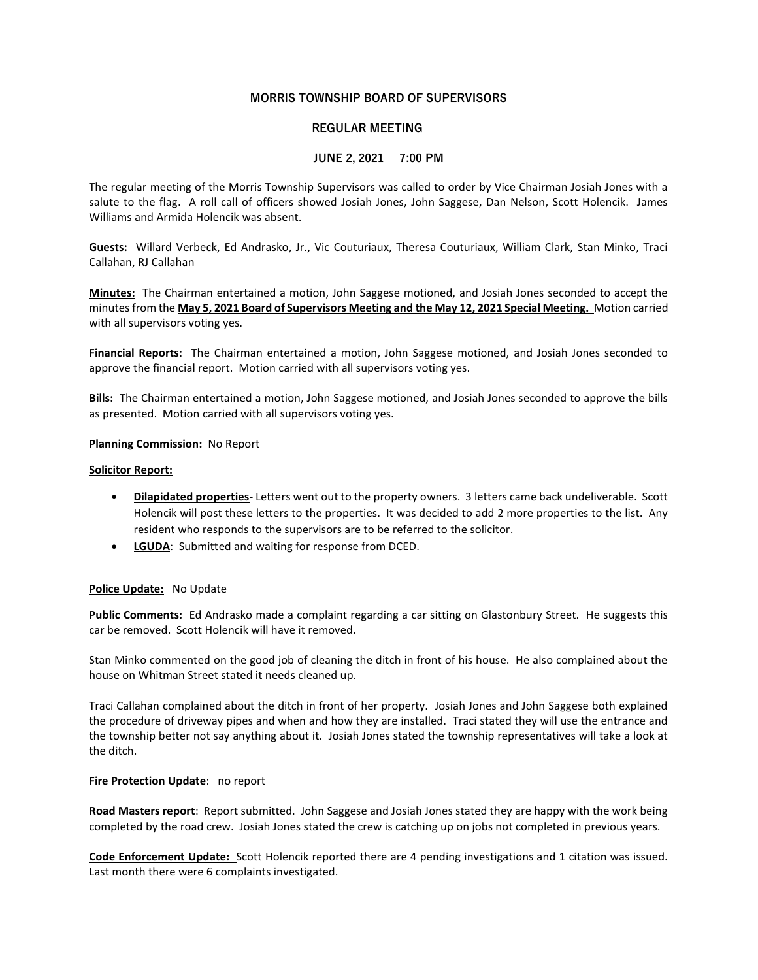# MORRIS TOWNSHIP BOARD OF SUPERVISORS

## REGULAR MEETING

## JUNE 2, 2021 7:00 PM

The regular meeting of the Morris Township Supervisors was called to order by Vice Chairman Josiah Jones with a salute to the flag. A roll call of officers showed Josiah Jones, John Saggese, Dan Nelson, Scott Holencik. James Williams and Armida Holencik was absent.

Guests: Willard Verbeck, Ed Andrasko, Jr., Vic Couturiaux, Theresa Couturiaux, William Clark, Stan Minko, Traci Callahan, RJ Callahan

Minutes: The Chairman entertained a motion, John Saggese motioned, and Josiah Jones seconded to accept the minutes from the May 5, 2021 Board of Supervisors Meeting and the May 12, 2021 Special Meeting. Motion carried with all supervisors voting yes.

Financial Reports: The Chairman entertained a motion, John Saggese motioned, and Josiah Jones seconded to approve the financial report. Motion carried with all supervisors voting yes.

Bills: The Chairman entertained a motion, John Saggese motioned, and Josiah Jones seconded to approve the bills as presented. Motion carried with all supervisors voting yes.

## Planning Commission: No Report

#### Solicitor Report:

- Dilapidated properties- Letters went out to the property owners. 3 letters came back undeliverable. Scott Holencik will post these letters to the properties. It was decided to add 2 more properties to the list. Any resident who responds to the supervisors are to be referred to the solicitor.
- **LGUDA:** Submitted and waiting for response from DCED.

## Police Update: No Update

Public Comments: Ed Andrasko made a complaint regarding a car sitting on Glastonbury Street. He suggests this car be removed. Scott Holencik will have it removed.

Stan Minko commented on the good job of cleaning the ditch in front of his house. He also complained about the house on Whitman Street stated it needs cleaned up.

Traci Callahan complained about the ditch in front of her property. Josiah Jones and John Saggese both explained the procedure of driveway pipes and when and how they are installed. Traci stated they will use the entrance and the township better not say anything about it. Josiah Jones stated the township representatives will take a look at the ditch.

#### Fire Protection Update: no report

Road Masters report: Report submitted. John Saggese and Josiah Jones stated they are happy with the work being completed by the road crew. Josiah Jones stated the crew is catching up on jobs not completed in previous years.

Code Enforcement Update: Scott Holencik reported there are 4 pending investigations and 1 citation was issued. Last month there were 6 complaints investigated.